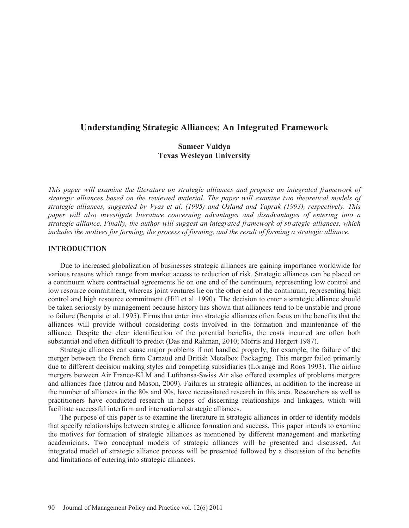# **Understanding Strategic Alliances: An Integrated Framework**

# **Sameer Vaidya Texas Wesleyan University**

*This paper will examine the literature on strategic alliances and propose an integrated framework of strategic alliances based on the reviewed material. The paper will examine two theoretical models of strategic alliances, suggested by Vyas et al. (1995) and Osland and Yaprak (1993), respectively. This paper will also investigate literature concerning advantages and disadvantages of entering into a strategic alliance. Finally, the author will suggest an integrated framework of strategic alliances, which includes the motives for forming, the process of forming, and the result of forming a strategic alliance.* 

### **INTRODUCTION**

Due to increased globalization of businesses strategic alliances are gaining importance worldwide for various reasons which range from market access to reduction of risk. Strategic alliances can be placed on a continuum where contractual agreements lie on one end of the continuum, representing low control and low resource commitment, whereas joint ventures lie on the other end of the continuum, representing high control and high resource commitment (Hill et al. 1990). The decision to enter a strategic alliance should be taken seriously by management because history has shown that alliances tend to be unstable and prone to failure (Berquist et al. 1995). Firms that enter into strategic alliances often focus on the benefits that the alliances will provide without considering costs involved in the formation and maintenance of the alliance. Despite the clear identification of the potential benefits, the costs incurred are often both substantial and often difficult to predict (Das and Rahman, 2010; Morris and Hergert 1987).

Strategic alliances can cause major problems if not handled properly, for example, the failure of the merger between the French firm Carnaud and British Metalbox Packaging. This merger failed primarily due to different decision making styles and competing subsidiaries (Lorange and Roos 1993). The airline mergers between Air France-KLM and Lufthansa-Swiss Air also offered examples of problems mergers and alliances face (Iatrou and Mason, 2009). Failures in strategic alliances, in addition to the increase in the number of alliances in the 80s and 90s, have necessitated research in this area. Researchers as well as practitioners have conducted research in hopes of discerning relationships and linkages, which will facilitate successful interfirm and international strategic alliances.

The purpose of this paper is to examine the literature in strategic alliances in order to identify models that specify relationships between strategic alliance formation and success. This paper intends to examine the motives for formation of strategic alliances as mentioned by different management and marketing academicians. Two conceptual models of strategic alliances will be presented and discussed. An integrated model of strategic alliance process will be presented followed by a discussion of the benefits and limitations of entering into strategic alliances.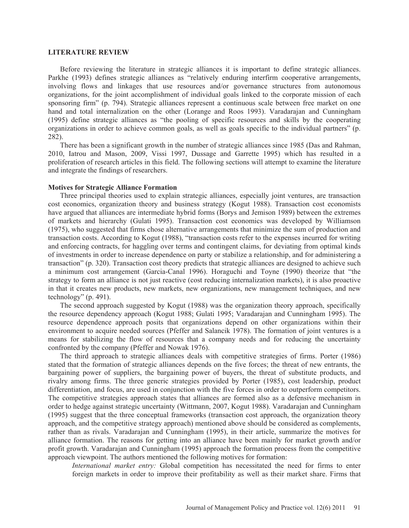#### **LITERATURE REVIEW**

Before reviewing the literature in strategic alliances it is important to define strategic alliances. Parkhe (1993) defines strategic alliances as "relatively enduring interfirm cooperative arrangements, involving flows and linkages that use resources and/or governance structures from autonomous organizations, for the joint accomplishment of individual goals linked to the corporate mission of each sponsoring firm" (p. 794). Strategic alliances represent a continuous scale between free market on one hand and total internalization on the other (Lorange and Roos 1993). Varadarajan and Cunningham (1995) define strategic alliances as "the pooling of specific resources and skills by the cooperating organizations in order to achieve common goals, as well as goals specific to the individual partners" (p. 282).

There has been a significant growth in the number of strategic alliances since 1985 (Das and Rahman, 2010, Iatrou and Mason, 2009, Vissi 1997, Dussage and Garrette 1995) which has resulted in a proliferation of research articles in this field. The following sections will attempt to examine the literature and integrate the findings of researchers.

### **Motives for Strategic Alliance Formation**

Three principal theories used to explain strategic alliances, especially joint ventures, are transaction cost economics, organization theory and business strategy (Kogut 1988). Transaction cost economists have argued that alliances are intermediate hybrid forms (Borys and Jemison 1989) between the extremes of markets and hierarchy (Gulati 1995). Transaction cost economics was developed by Williamson (1975), who suggested that firms chose alternative arrangements that minimize the sum of production and transaction costs. According to Kogut (1988), "transaction costs refer to the expenses incurred for writing and enforcing contracts, for haggling over terms and contingent claims, for deviating from optimal kinds of investments in order to increase dependence on party or stabilize a relationship, and for administering a transaction" (p. 320). Transaction cost theory predicts that strategic alliances are designed to achieve such a minimum cost arrangement (Garcia-Canal 1996). Horaguchi and Toyne (1990) theorize that "the strategy to form an alliance is not just reactive (cost reducing internalization markets), it is also proactive in that it creates new products, new markets, new organizations, new management techniques, and new technology" (p. 491).

The second approach suggested by Kogut (1988) was the organization theory approach, specifically the resource dependency approach (Kogut 1988; Gulati 1995; Varadarajan and Cunningham 1995). The resource dependence approach posits that organizations depend on other organizations within their environment to acquire needed sources (Pfeffer and Salancik 1978). The formation of joint ventures is a means for stabilizing the flow of resources that a company needs and for reducing the uncertainty confronted by the company (Pfeffer and Nowak 1976).

The third approach to strategic alliances deals with competitive strategies of firms. Porter (1986) stated that the formation of strategic alliances depends on the five forces; the threat of new entrants, the bargaining power of suppliers, the bargaining power of buyers, the threat of substitute products, and rivalry among firms. The three generic strategies provided by Porter (1985), cost leadership, product differentiation, and focus, are used in conjunction with the five forces in order to outperform competitors. The competitive strategies approach states that alliances are formed also as a defensive mechanism in order to hedge against strategic uncertainty (Wittmann, 2007, Kogut 1988). Varadarajan and Cunningham (1995) suggest that the three conceptual frameworks (transaction cost approach, the organization theory approach, and the competitive strategy approach) mentioned above should be considered as complements, rather than as rivals. Varadarajan and Cunningham (1995), in their article, summarize the motives for alliance formation. The reasons for getting into an alliance have been mainly for market growth and/or profit growth. Varadarajan and Cunningham (1995) approach the formation process from the competitive approach viewpoint. The authors mentioned the following motives for formation:

*International market entry:* Global competition has necessitated the need for firms to enter foreign markets in order to improve their profitability as well as their market share. Firms that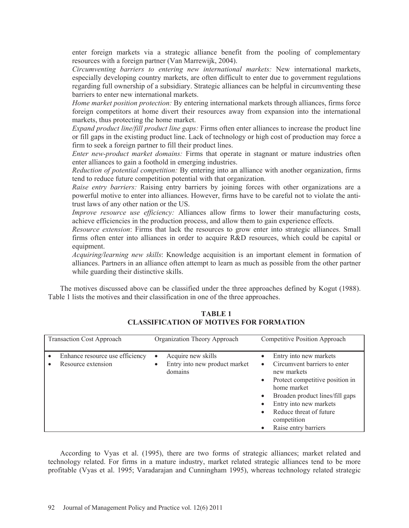enter foreign markets via a strategic alliance benefit from the pooling of complementary resources with a foreign partner (Van Marrewijk, 2004).

*Circumventing barriers to entering new international markets:* New international markets, especially developing country markets, are often difficult to enter due to government regulations regarding full ownership of a subsidiary. Strategic alliances can be helpful in circumventing these barriers to enter new international markets.

*Home market position protection:* By entering international markets through alliances, firms force foreign competitors at home divert their resources away from expansion into the international markets, thus protecting the home market.

*Expand product line/fill product line gaps:* Firms often enter alliances to increase the product line or fill gaps in the existing product line. Lack of technology or high cost of production may force a firm to seek a foreign partner to fill their product lines.

*Enter new-product market domains:* Firms that operate in stagnant or mature industries often enter alliances to gain a foothold in emerging industries.

*Reduction of potential competition:* By entering into an alliance with another organization, firms tend to reduce future competition potential with that organization.

*Raise entry barriers:* Raising entry barriers by joining forces with other organizations are a powerful motive to enter into alliances. However, firms have to be careful not to violate the antitrust laws of any other nation or the US.

*Improve resource use efficiency:* Alliances allow firms to lower their manufacturing costs, achieve efficiencies in the production process, and allow them to gain experience effects.

*Resource extension*: Firms that lack the resources to grow enter into strategic alliances. Small firms often enter into alliances in order to acquire R&D resources, which could be capital or equipment.

*Acquiring/learning new skills*: Knowledge acquisition is an important element in formation of alliances. Partners in an alliance often attempt to learn as much as possible from the other partner while guarding their distinctive skills.

The motives discussed above can be classified under the three approaches defined by Kogut (1988). Table 1 lists the motives and their classification in one of the three approaches.

| <b>Transaction Cost Approach</b> |                                                       | Organization Theory Approach                                                             | Competitive Position Approach                                                                                                                                                                                                                          |
|----------------------------------|-------------------------------------------------------|------------------------------------------------------------------------------------------|--------------------------------------------------------------------------------------------------------------------------------------------------------------------------------------------------------------------------------------------------------|
|                                  | Enhance resource use efficiency<br>Resource extension | Acquire new skills<br>$\bullet$<br>Entry into new product market<br>$\bullet$<br>domains | Entry into new markets<br>Circumvent barriers to enter<br>new markets<br>Protect competitive position in<br>home market<br>Broaden product lines/fill gaps<br>Entry into new markets<br>Reduce threat of future<br>competition<br>Raise entry barriers |

**TABLE 1 CLASSIFICATION OF MOTIVES FOR FORMATION** 

According to Vyas et al. (1995), there are two forms of strategic alliances; market related and technology related. For firms in a mature industry, market related strategic alliances tend to be more profitable (Vyas et al. 1995; Varadarajan and Cunningham 1995), whereas technology related strategic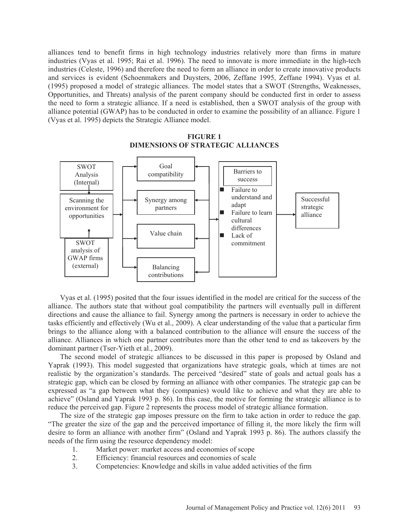alliances tend to benefit firms in high technology industries relatively more than firms in mature industries (Vyas et al. 1995; Rai et al. 1996). The need to innovate is more immediate in the high-tech industries (Celeste, 1996) and therefore the need to form an alliance in order to create innovative products and services is evident (Schoenmakers and Duysters, 2006, Zeffane 1995, Zeffane 1994). Vyas et al. (1995) proposed a model of strategic alliances. The model states that a SWOT (Strengths, Weaknesses, Opportunities, and Threats) analysis of the parent company should be conducted first in order to assess the need to form a strategic alliance. If a need is established, then a SWOT analysis of the group with alliance potential (GWAP) has to be conducted in order to examine the possibility of an alliance. Figure 1 (Vyas et al. 1995) depicts the Strategic Alliance model.



## **FIGURE 1 DIMENSIONS OF STRATEGIC ALLIANCES**

Vyas et al. (1995) posited that the four issues identified in the model are critical for the success of the alliance. The authors state that without goal compatibility the partners will eventually pull in different directions and cause the alliance to fail. Synergy among the partners is necessary in order to achieve the tasks efficiently and effectively (Wu et al., 2009). A clear understanding of the value that a particular firm brings to the alliance along with a balanced contribution to the alliance will ensure the success of the alliance. Alliances in which one partner contributes more than the other tend to end as takeovers by the dominant partner (Tser-Yieth et al., 2009).

The second model of strategic alliances to be discussed in this paper is proposed by Osland and Yaprak (1993). This model suggested that organizations have strategic goals, which at times are not realistic by the organization's standards. The perceived "desired" state of goals and actual goals has a strategic gap, which can be closed by forming an alliance with other companies. The strategic gap can be expressed as "a gap between what they (companies) would like to achieve and what they are able to achieve" (Osland and Yaprak 1993 p. 86). In this case, the motive for forming the strategic alliance is to reduce the perceived gap. Figure 2 represents the process model of strategic alliance formation.

The size of the strategic gap imposes pressure on the firm to take action in order to reduce the gap. "The greater the size of the gap and the perceived importance of filling it, the more likely the firm will desire to form an alliance with another firm" (Osland and Yaprak 1993 p. 86). The authors classify the needs of the firm using the resource dependency model:

- 1. Market power: market access and economies of scope
- 2. Efficiency: financial resources and economies of scale
- 3. Competencies: Knowledge and skills in value added activities of the firm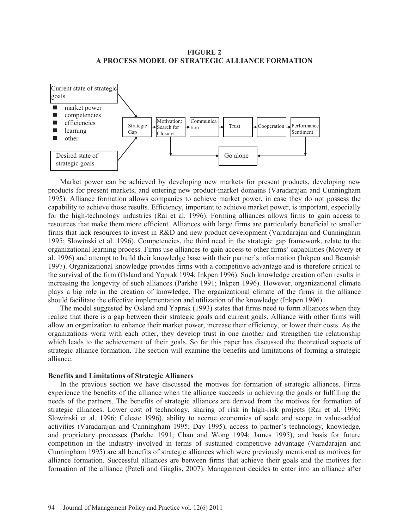### **FIGURE 2 A PROCESS MODEL OF STRATEGIC ALLIANCE FORMATION**



Market power can be achieved by developing new markets for present products, developing new products for present markets, and entering new product-market domains (Varadarajan and Cunningham 1995). Alliance formation allows companies to achieve market power, in case they do not possess the capability to achieve those results. Efficiency, important to achieve market power, is important, especially for the high-technology industries (Rai et al. 1996). Forming alliances allows firms to gain access to resources that make them more efficient. Alliances with large firms are particularly beneficial to smaller firms that lack resources to invest in R&D and new product development (Varadarajan and Cunningham 1995; Slowinski et al. 1996). Competencies, the third need in the strategic gap framework, relate to the organizational learning process. Firms use alliances to gain access to other firms' capabilities (Mowery et al. 1996) and attempt to build their knowledge base with their partner's information (Inkpen and Beamish 1997). Organizational knowledge provides firms with a competitive advantage and is therefore critical to the survival of the firm (Osland and Yaprak 1994; Inkpen 1996). Such knowledge creation often results in increasing the longevity of such alliances (Parkhe 1991; Inkpen 1996). However, organizational climate plays a big role in the creation of knowledge. The organizational climate of the firms in the alliance should facilitate the effective implementation and utilization of the knowledge (Inkpen 1996).

The model suggested by Osland and Yaprak (1993) states that firms need to form alliances when they realize that there is a gap between their strategic goals and current goals. Alliance with other firms will allow an organization to enhance their market power, increase their efficiency, or lower their costs. As the organizations work with each other, they develop trust in one another and strengthen the relationship which leads to the achievement of their goals. So far this paper has discussed the theoretical aspects of strategic alliance formation. The section will examine the benefits and limitations of forming a strategic alliance.

#### **Benefits and Limitations of Strategic Alliances**

In the previous section we have discussed the motives for formation of strategic alliances. Firms experience the benefits of the alliance when the alliance succeeds in achieving the goals or fulfilling the needs of the partners. The benefits of strategic alliances are derived from the motives for formation of strategic alliances. Lower cost of technology, sharing of risk in high-risk projects (Rai et al. 1996; Slowinski et al. 1996; Celeste 1996), ability to accrue economies of scale and scope in value-added activities (Varadarajan and Cunningham 1995; Day 1995), access to partner's technology, knowledge, and proprietary processes (Parkhe 1991; Chan and Wong 1994; James 1995), and basis for future competition in the industry involved in terms of sustained competitive advantage (Varadarajan and Cunningham 1995) are all benefits of strategic alliances which were previously mentioned as motives for alliance formation. Successful alliances are between firms that achieve their goals and the motives for formation of the alliance (Pateli and Giaglis, 2007). Management decides to enter into an alliance after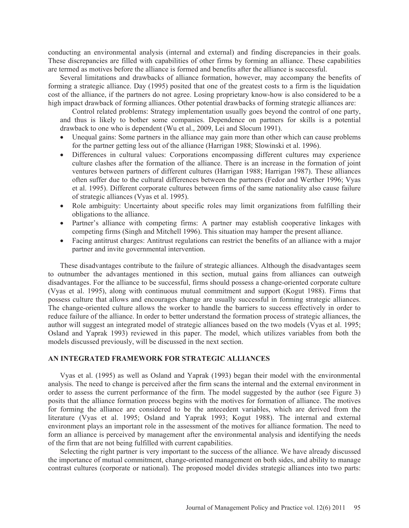conducting an environmental analysis (internal and external) and finding discrepancies in their goals. These discrepancies are filled with capabilities of other firms by forming an alliance. These capabilities are termed as motives before the alliance is formed and benefits after the alliance is successful.

Several limitations and drawbacks of alliance formation, however, may accompany the benefits of forming a strategic alliance. Day (1995) posited that one of the greatest costs to a firm is the liquidation cost of the alliance, if the partners do not agree. Losing proprietary know-how is also considered to be a high impact drawback of forming alliances. Other potential drawbacks of forming strategic alliances are:

Control related problems: Strategy implementation usually goes beyond the control of one party, and thus is likely to bother some companies. Dependence on partners for skills is a potential drawback to one who is dependent (Wu et al., 2009, Lei and Slocum 1991).

- Unequal gains: Some partners in the alliance may gain more than other which can cause problems for the partner getting less out of the alliance (Harrigan 1988; Slowinski et al. 1996).
- Differences in cultural values: Corporations encompassing different cultures may experience culture clashes after the formation of the alliance. There is an increase in the formation of joint ventures between partners of different cultures (Harrigan 1988; Harrigan 1987). These alliances often suffer due to the cultural differences between the partners (Fedor and Werther 1996; Vyas et al. 1995). Different corporate cultures between firms of the same nationality also cause failure of strategic alliances (Vyas et al. 1995).
- Role ambiguity: Uncertainty about specific roles may limit organizations from fulfilling their obligations to the alliance.
- Partner's alliance with competing firms: A partner may establish cooperative linkages with competing firms (Singh and Mitchell 1996). This situation may hamper the present alliance.
- Facing antitrust charges: Antitrust regulations can restrict the benefits of an alliance with a major partner and invite governmental intervention.

These disadvantages contribute to the failure of strategic alliances. Although the disadvantages seem to outnumber the advantages mentioned in this section, mutual gains from alliances can outweigh disadvantages. For the alliance to be successful, firms should possess a change-oriented corporate culture (Vyas et al. 1995), along with continuous mutual commitment and support (Kogut 1988). Firms that possess culture that allows and encourages change are usually successful in forming strategic alliances. The change-oriented culture allows the worker to handle the barriers to success effectively in order to reduce failure of the alliance. In order to better understand the formation process of strategic alliances, the author will suggest an integrated model of strategic alliances based on the two models (Vyas et al. 1995; Osland and Yaprak 1993) reviewed in this paper. The model, which utilizes variables from both the models discussed previously, will be discussed in the next section.

### **AN INTEGRATED FRAMEWORK FOR STRATEGIC ALLIANCES**

Vyas et al. (1995) as well as Osland and Yaprak (1993) began their model with the environmental analysis. The need to change is perceived after the firm scans the internal and the external environment in order to assess the current performance of the firm. The model suggested by the author (see Figure 3) posits that the alliance formation process begins with the motives for formation of alliance. The motives for forming the alliance are considered to be the antecedent variables, which are derived from the literature (Vyas et al. 1995; Osland and Yaprak 1993; Kogut 1988). The internal and external environment plays an important role in the assessment of the motives for alliance formation. The need to form an alliance is perceived by management after the environmental analysis and identifying the needs of the firm that are not being fulfilled with current capabilities.

Selecting the right partner is very important to the success of the alliance. We have already discussed the importance of mutual commitment, change-oriented management on both sides, and ability to manage contrast cultures (corporate or national). The proposed model divides strategic alliances into two parts: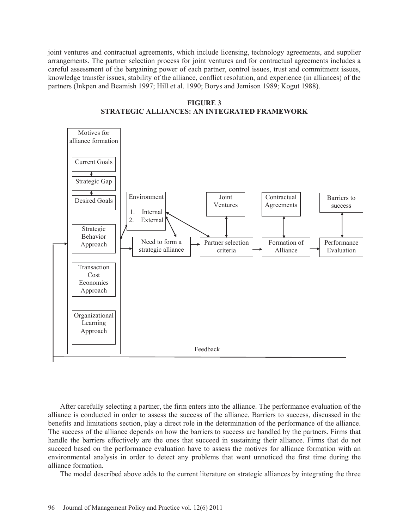joint ventures and contractual agreements, which include licensing, technology agreements, and supplier arrangements. The partner selection process for joint ventures and for contractual agreements includes a careful assessment of the bargaining power of each partner, control issues, trust and commitment issues, knowledge transfer issues, stability of the alliance, conflict resolution, and experience (in alliances) of the partners (Inkpen and Beamish 1997; Hill et al. 1990; Borys and Jemison 1989; Kogut 1988).

**FIGURE 3 STRATEGIC ALLIANCES: AN INTEGRATED FRAMEWORK**



After carefully selecting a partner, the firm enters into the alliance. The performance evaluation of the alliance is conducted in order to assess the success of the alliance. Barriers to success, discussed in the benefits and limitations section, play a direct role in the determination of the performance of the alliance. The success of the alliance depends on how the barriers to success are handled by the partners. Firms that handle the barriers effectively are the ones that succeed in sustaining their alliance. Firms that do not succeed based on the performance evaluation have to assess the motives for alliance formation with an environmental analysis in order to detect any problems that went unnoticed the first time during the alliance formation.

The model described above adds to the current literature on strategic alliances by integrating the three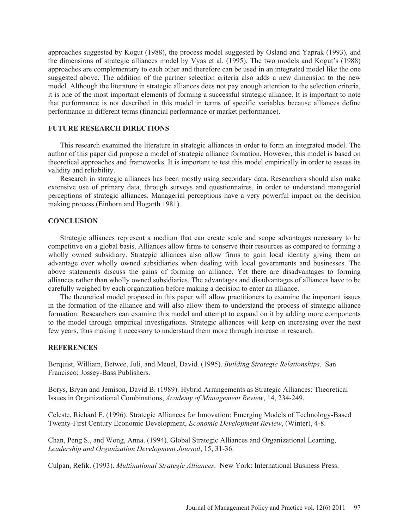approaches suggested by Kogut (1988), the process model suggested by Osland and Yaprak (1993), and the dimensions of strategic alliances model by Vyas et al. (1995). The two models and Kogut's (1988) approaches are complementary to each other and therefore can be used in an integrated model like the one suggested above. The addition of the partner selection criteria also adds a new dimension to the new model. Although the literature in strategic alliances does not pay enough attention to the selection criteria, it is one of the most important elements of forming a successful strategic alliance. It is important to note that performance is not described in this model in terms of specific variables because alliances define performance in different terms (financial performance or market performance).

## **FUTURE RESEARCH DIRECTIONS**

This research examined the literature in strategic alliances in order to form an integrated model. The author of this paper did propose a model of strategic alliance formation. However, this model is based on theoretical approaches and frameworks. It is important to test this model empirically in order to assess its validity and reliability.

Research in strategic alliances has been mostly using secondary data. Researchers should also make extensive use of primary data, through surveys and questionnaires, in order to understand managerial perceptions of strategic alliances. Managerial perceptions have a very powerful impact on the decision making process (Einhorn and Hogarth 1981).

## **CONCLUSION**

Strategic alliances represent a medium that can create scale and scope advantages necessary to be competitive on a global basis. Alliances allow firms to conserve their resources as compared to forming a wholly owned subsidiary. Strategic alliances also allow firms to gain local identity giving them an advantage over wholly owned subsidiaries when dealing with local governments and businesses. The above statements discuss the gains of forming an alliance. Yet there are disadvantages to forming alliances rather than wholly owned subsidiaries. The advantages and disadvantages of alliances have to be carefully weighed by each organization before making a decision to enter an alliance.

The theoretical model proposed in this paper will allow practitioners to examine the important issues in the formation of the alliance and will also allow them to understand the process of strategic alliance formation. Researchers can examine this model and attempt to expand on it by adding more components to the model through empirical investigations. Strategic alliances will keep on increasing over the next few years, thus making it necessary to understand them more through increase in research.

### **REFERENCES**

Berquist, William, Betwee, Juli, and Meuel, David. (1995). *Building Strategic Relationships*. San Francisco: Jossey-Bass Publishers.

Borys, Bryan and Jemison, David B. (1989). Hybrid Arrangements as Strategic Alliances: Theoretical Issues in Organizational Combinations, *Academy of Management Review*, 14, 234-249.

Celeste, Richard F. (1996). Strategic Alliances for Innovation: Emerging Models of Technology-Based Twenty-First Century Economic Development, *Economic Development Review*, (Winter), 4-8.

Chan, Peng S., and Wong, Anna. (1994). Global Strategic Alliances and Organizational Learning, *Leadership and Organization Development Journal*, 15, 31-36.

Culpan, Refik. (1993). *Multinational Strategic Alliances*. New York: International Business Press.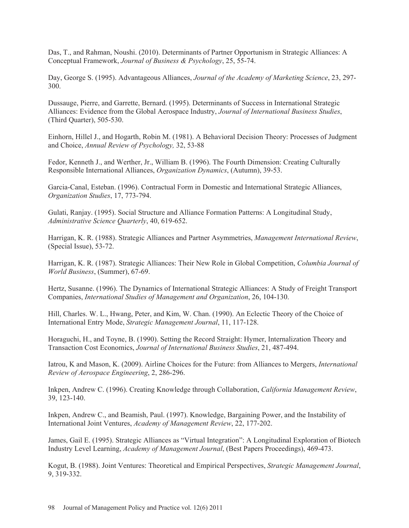Das, T., and Rahman, Noushi. (2010). Determinants of Partner Opportunism in Strategic Alliances: A Conceptual Framework, *Journal of Business & Psychology*, 25, 55-74.

Day, George S. (1995). Advantageous Alliances, *Journal of the Academy of Marketing Science*, 23, 297- 300.

Dussauge, Pierre, and Garrette, Bernard. (1995). Determinants of Success in International Strategic Alliances: Evidence from the Global Aerospace Industry, *Journal of International Business Studies*, (Third Quarter), 505-530.

Einhorn, Hillel J., and Hogarth, Robin M. (1981). A Behavioral Decision Theory: Processes of Judgment and Choice, *Annual Review of Psychology,* 32, 53-88

Fedor, Kenneth J., and Werther, Jr., William B. (1996). The Fourth Dimension: Creating Culturally Responsible International Alliances, *Organization Dynamics*, (Autumn), 39-53.

Garcia-Canal, Esteban. (1996). Contractual Form in Domestic and International Strategic Alliances, *Organization Studies*, 17, 773-794.

Gulati, Ranjay. (1995). Social Structure and Alliance Formation Patterns: A Longitudinal Study, *Administrative Science Quarterly*, 40, 619-652.

Harrigan, K. R. (1988). Strategic Alliances and Partner Asymmetries, *Management International Review*, (Special Issue), 53-72.

Harrigan, K. R. (1987). Strategic Alliances: Their New Role in Global Competition, *Columbia Journal of World Business*, (Summer), 67-69.

Hertz, Susanne. (1996). The Dynamics of International Strategic Alliances: A Study of Freight Transport Companies, *International Studies of Management and Organization*, 26, 104-130.

Hill, Charles. W. L., Hwang, Peter, and Kim, W. Chan. (1990). An Eclectic Theory of the Choice of International Entry Mode, *Strategic Management Journal*, 11, 117-128.

Horaguchi, H., and Toyne, B. (1990). Setting the Record Straight: Hymer, Internalization Theory and Transaction Cost Economics, *Journal of International Business Studies*, 21, 487-494.

Iatrou, K and Mason, K. (2009). Airline Choices for the Future: from Alliances to Mergers, *International Review of Aerospace Engineering*, 2, 286-296.

Inkpen, Andrew C. (1996). Creating Knowledge through Collaboration, *California Management Review*, 39, 123-140.

Inkpen, Andrew C., and Beamish, Paul. (1997). Knowledge, Bargaining Power, and the Instability of International Joint Ventures, *Academy of Management Review*, 22, 177-202.

James, Gail E. (1995). Strategic Alliances as "Virtual Integration": A Longitudinal Exploration of Biotech Industry Level Learning, *Academy of Management Journal*, (Best Papers Proceedings), 469-473.

Kogut, B. (1988). Joint Ventures: Theoretical and Empirical Perspectives, *Strategic Management Journal*, 9, 319-332.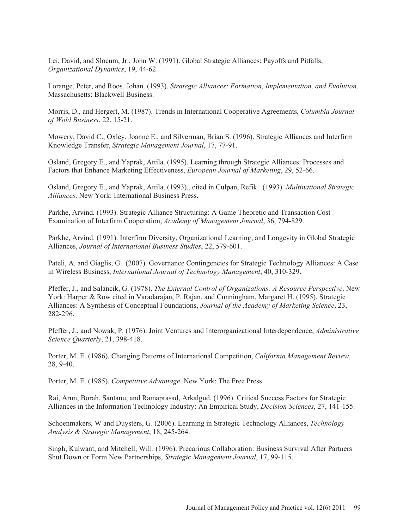Lei, David, and Slocum, Jr., John W. (1991). Global Strategic Alliances: Payoffs and Pitfalls, *Organizational Dynamics*, 19, 44-62.

Lorange, Peter, and Roos, Johan. (1993). *Strategic Alliances: Formation, Implementation, and Evolution*. Massachusetts: Blackwell Business.

Morris, D., and Hergert, M. (1987). Trends in International Cooperative Agreements, *Columbia Journal of Wold Business*, 22, 15-21.

Mowery, David C., Oxley, Joanne E., and Silverman, Brian S. (1996). Strategic Alliances and Interfirm Knowledge Transfer, *Strategic Management Journal*, 17, 77-91.

Osland, Gregory E., and Yaprak, Attila. (1995). Learning through Strategic Alliances: Processes and Factors that Enhance Marketing Effectiveness, *European Journal of Marketing*, 29, 52-66.

Osland, Gregory E., and Yaprak, Attila. (1993)., cited in Culpan, Refik. (1993). *Multinational Strategic Alliances*. New York: International Business Press.

Parkhe, Arvind. (1993). Strategic Alliance Structuring: A Game Theoretic and Transaction Cost Examination of Interfirm Cooperation, *Academy of Management Journal*, 36, 794-829.

Parkhe, Arvind. (1991). Interfirm Diversity, Organizational Learning, and Longevity in Global Strategic Alliances, *Journal of International Business Studies*, 22, 579-601.

Pateli, A. and Giaglis, G. (2007). Governance Contingencies for Strategic Technology Alliances: A Case in Wireless Business, *International Journal of Technology Management*, 40, 310-329.

Pfeffer, J., and Salancik, G. (1978). *The External Control of Organizations: A Resource Perspective*. New York: Harper & Row cited in Varadarajan, P. Rajan, and Cunningham, Margaret H. (1995). Strategic Alliances: A Synthesis of Conceptual Foundations, *Journal of the Academy of Marketing Science*, 23, 282-296.

Pfeffer, J., and Nowak, P. (1976). Joint Ventures and Interorganizational Interdependence, *Administrative Science Quarterly*, 21, 398-418.

Porter, M. E. (1986). Changing Patterns of International Competition, *California Management Review*, 28, 9-40.

Porter, M. E. (1985). *Competitive Advantage*. New York: The Free Press.

Rai, Arun, Borah, Santanu, and Ramaprasad, Arkalgud. (1996). Critical Success Factors for Strategic Alliances in the Information Technology Industry: An Empirical Study, *Decision Sciences*, 27, 141-155.

Schoenmakers, W and Duysters, G. (2006). Learning in Strategic Technology Alliances, *Technology Analysis & Strategic Management*, 18, 245-264.

Singh, Kulwant, and Mitchell, Will. (1996). Precarious Collaboration: Business Survival After Partners Shut Down or Form New Partnerships, *Strategic Management Journal*, 17, 99-115.